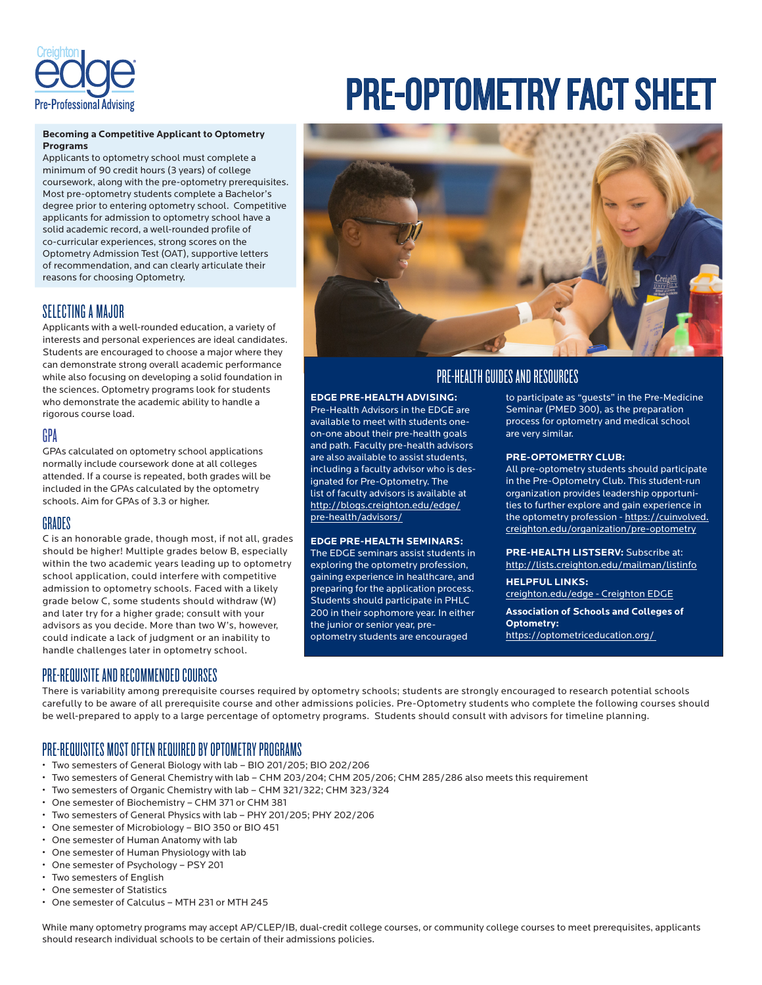

## **Becoming a Competitive Applicant to Optometry Programs**

Applicants to optometry school must complete a minimum of 90 credit hours (3 years) of college coursework, along with the pre-optometry prerequisites. Most pre-optometry students complete a Bachelor's degree prior to entering optometry school. Competitive applicants for admission to optometry school have a solid academic record, a well-rounded profile of co-curricular experiences, strong scores on the Optometry Admission Test (OAT), supportive letters of recommendation, and can clearly articulate their reasons for choosing Optometry.

## SELECTING A MAJOR

Applicants with a well-rounded education, a variety of interests and personal experiences are ideal candidates. Students are encouraged to choose a major where they can demonstrate strong overall academic performance while also focusing on developing a solid foundation in the sciences. Optometry programs look for students who demonstrate the academic ability to handle a rigorous course load.

## GPA

GPAs calculated on optometry school applications normally include coursework done at all colleges attended. If a course is repeated, both grades will be included in the GPAs calculated by the optometry schools. Aim for GPAs of 3.3 or higher.

## GRADES

C is an honorable grade, though most, if not all, grades should be higher! Multiple grades below B, especially within the two academic years leading up to optometry school application, could interfere with competitive admission to optometry schools. Faced with a likely grade below C, some students should withdraw (W) and later try for a higher grade; consult with your advisors as you decide. More than two W's, however, could indicate a lack of judgment or an inability to handle challenges later in optometry school.

# PRE-OPTOMETRY FACT SHEET



# PRE-HEALTH GUIDES AND RESOURCES

## **EDGE PRE-HEALTH ADVISING:**

Pre-Health Advisors in the EDGE are available to meet with students oneon-one about their pre-health goals and path. Faculty pre-health advisors are also available to assist students, including a faculty advisor who is designated for Pre-Optometry. The list of faculty advisors is available at http://blogs.creighton.edu/edge/ pre-health/advisors/

## **EDGE PRE-HEALTH SEMINARS:**

The EDGE seminars assist students in exploring the optometry profession, gaining experience in healthcare, and preparing for the application process. Students should participate in PHLC 200 in their sophomore year. In either the junior or senior year, preoptometry students are encouraged

to participate as "guests" in the Pre-Medicine Seminar (PMED 300), as the preparation process for optometry and medical school are very similar.

## **PRE-OPTOMETRY CLUB:**

All pre-optometry students should participate in the Pre-Optometry Club. This student-run organization provides leadership opportunities to further explore and gain experience in the optometry profession - https://cuinvolved. creighton.edu/organization/pre-optometry

**PRE-HEALTH LISTSERV:** Subscribe at: http://lists.creighton.edu/mailman/listinfo

**HELPFUL LINKS:**  creighton.edu/edge - Creighton EDGE

**Association of Schools and Colleges of Optometry:** https://optometriceducation.org/

## PRE-REQUISITE AND RECOMMENDED COURSES

There is variability among prerequisite courses required by optometry schools; students are strongly encouraged to research potential schools carefully to be aware of all prerequisite course and other admissions policies. Pre-Optometry students who complete the following courses should be well-prepared to apply to a large percentage of optometry programs. Students should consult with advisors for timeline planning.

# PRE-REQUISITES MOST OFTEN REQUIRED BY OPTOMETRY PROGRAMS

- Two semesters of General Biology with lab BIO 201/205; BIO 202/206
- Two semesters of General Chemistry with lab CHM 203/204; CHM 205/206; CHM 285/286 also meets this requirement
- Two semesters of Organic Chemistry with lab CHM 321/322; CHM 323/324
- One semester of Biochemistry CHM 371 or CHM 381
- Two semesters of General Physics with lab PHY 201/205; PHY 202/206
- One semester of Microbiology BIO 350 or BIO 451
- One semester of Human Anatomy with lab
- One semester of Human Physiology with lab
- One semester of Psychology PSY 201
- Two semesters of English
- One semester of Statistics
- One semester of Calculus MTH 231 or MTH 245

While many optometry programs may accept AP/CLEP/IB, dual-credit college courses, or community college courses to meet prerequisites, applicants should research individual schools to be certain of their admissions policies.